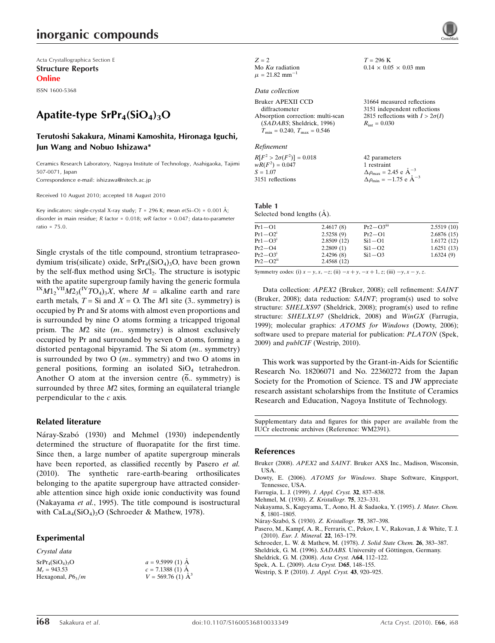## inorganic compounds

Acta Crystallographica Section E Structure Reports Online

ISSN 1600-5368

## Apatite-type  $SrPr<sub>4</sub>(SiO<sub>4</sub>)<sub>3</sub>O$

### Terutoshi Sakakura, Minami Kamoshita, Hironaga Iguchi, Jun Wang and Nobuo Ishizawa\*

Ceramics Research Laboratory, Nagoya Institute of Technology, Asahigaoka, Tajimi 507-0071, Japan

Correspondence e-mail: ishizawa@nitech.ac.jp

Received 10 August 2010; accepted 18 August 2010

Key indicators: single-crystal X-ray study;  $T = 296$  K; mean  $\sigma(S_i-O) = 0.001$  Å; disorder in main residue; R factor = 0.018; wR factor = 0.047; data-to-parameter ratio = 75.0.

Single crystals of the title compound, strontium tetrapraseodymium tris(silicate) oxide,  $SrPr_4(SiO_4)_3O$ , have been grown by the self-flux method using  $SrCl<sub>2</sub>$ . The structure is isotypic with the apatite supergroup family having the generic formula  ${}^{IX}M1_2{}^{VII}M2_3({}^{IV}TO_4)_3X$ , where  $M$  = alkaline earth and rare earth metals,  $T = Si$  and  $X = O$ . The M1 site (3.. symmetry) is occupied by Pr and Sr atoms with almost even proportions and is surrounded by nine O atoms forming a tricapped trigonal prism. The  $M2$  site  $(m.$  symmetry) is almost exclusively occupied by Pr and surrounded by seven O atoms, forming a distorted pentagonal bipyramid. The Si atom (m.. symmetry) is surrounded by two  $O(m.$  symmetry) and two  $O$  atoms in general positions, forming an isolated SiO<sub>4</sub> tetrahedron. Another O atom at the inversion centre  $(\overline{6})$ . symmetry) is surrounded by three  $M2$  sites, forming an equilateral triangle perpendicular to the c axis.

### Related literature

Náray-Szabó (1930) and Mehmel (1930) independently determined the structure of fluorapatite for the first time. Since then, a large number of apatite supergroup minerals have been reported, as classified recently by Pasero et al. (2010). The synthetic rare-earth-bearing orthosilicates belonging to the apatite supergroup have attracted considerable attention since high oxide ionic conductivity was found (Nakayama et al., 1995). The title compound is isostructural with  $CaLa_4(SiO_4)_{3}O$  (Schroeder & Mathew, 1978).

> $a = 9.5999(1)$  Å  $c = 7.1388(1)$  Å  $V = 569.76$  (1)  $\AA^3$

### Experimental

Crystal data  $SrPr<sub>4</sub>(SiO<sub>4</sub>)<sub>3</sub>O$  $M<sub>r</sub> = 943.53$ Hexagonal,  $P6_3/m$ 

| $Z = 2$                        |
|--------------------------------|
| Mo $K\alpha$ radiation         |
| $\mu$ = 21.82 $\text{mm}^{-1}$ |

#### Data collection

Refinement

 $R[F^2 > 2\sigma(F^2)] = 0.018$  $wR(F^2) = 0.047$  $S = 1.07$ 3151 reflections 42 parameters 1 restraint  $\Delta \rho_{\text{max}} = 2.45 \text{ e A}^{-3}$  $\Delta \rho_{\text{min}} = -1.75 \text{ e } \text{\AA}^{-3}$ 

#### Table 1 Selected bond lengths  $(\AA)$ .

| $Pr1-O1$     | 2.4617(8)  | $Pr2-O3$ <sup>iii</sup> | 2.5519(10) |
|--------------|------------|-------------------------|------------|
| $Pr1 - O2^1$ | 2.5258(9)  | $Pr2-O1$                | 2.6876(15) |
| $Pr1 - O3i$  | 2.8509(12) | $Si1 - O1$              | 1.6172(12) |
| $Pr2 - O4$   | 2.2809(1)  | $Si1 - O2$              | 1.6251(13) |
| $Pr2-O3i$    | 2.4296(8)  | $Si1 - O3$              | 1.6324(9)  |
| $Pr2-O2ii$   | 2.4568(12) |                         |            |
|              |            |                         |            |

 $T = 296$  K

 $R_{\rm int} = 0.030$ 

 $0.14 \times 0.05 \times 0.03$  mm

31664 measured reflections 3151 independent reflections 2815 reflections with  $I > 2\sigma(I)$ 

Symmetry codes: (i)  $x - y$ ,  $x$ ,  $-z$ ; (ii)  $-x + y$ ,  $-x + 1$ , z; (iii)  $-y$ ,  $x - y$ , z.

Data collection: APEX2 (Bruker, 2008); cell refinement: SAINT (Bruker, 2008); data reduction: SAINT; program(s) used to solve structure: SHELXS97 (Sheldrick, 2008); program(s) used to refine structure: SHELXL97 (Sheldrick, 2008) and WinGX (Farrugia, 1999); molecular graphics: ATOMS for Windows (Dowty, 2006); software used to prepare material for publication: *PLATON* (Spek, 2009) and publCIF (Westrip, 2010).

This work was supported by the Grant-in-Aids for Scientific Research No. 18206071 and No. 22360272 from the Japan Society for the Promotion of Science. TS and JW appreciate research assistant scholarships from the Institute of Ceramics Research and Education, Nagoya Institute of Technology.

Supplementary data and figures for this paper are available from the IUCr electronic archives (Reference: WM2391).

### References

- Bruker (2008). APEX2 and SAINT[. Bruker AXS Inc., Madison, Wisconsin,](https://scripts.iucr.org/cgi-bin/cr.cgi?rm=pdfbb&cnor=wm2391&bbid=BB1) [USA.](https://scripts.iucr.org/cgi-bin/cr.cgi?rm=pdfbb&cnor=wm2391&bbid=BB1)
- Dowty, E. (2006). ATOMS for Windows[. Shape Software, Kingsport,](https://scripts.iucr.org/cgi-bin/cr.cgi?rm=pdfbb&cnor=wm2391&bbid=BB2) [Tennessee, USA.](https://scripts.iucr.org/cgi-bin/cr.cgi?rm=pdfbb&cnor=wm2391&bbid=BB2)
- [Farrugia, L. J. \(1999\).](https://scripts.iucr.org/cgi-bin/cr.cgi?rm=pdfbb&cnor=wm2391&bbid=BB3) J. Appl. Cryst. 32, 837–838.
- [Mehmel, M. \(1930\).](https://scripts.iucr.org/cgi-bin/cr.cgi?rm=pdfbb&cnor=wm2391&bbid=BB4) Z. Kristallogr. 75, 323–331.
- [Nakayama, S., Kageyama, T., Aono, H. & Sadaoka, Y. \(1995\).](https://scripts.iucr.org/cgi-bin/cr.cgi?rm=pdfbb&cnor=wm2391&bbid=BB5) J. Mater. Chem. 5[, 1801–1805.](https://scripts.iucr.org/cgi-bin/cr.cgi?rm=pdfbb&cnor=wm2391&bbid=BB5)
- Náray-Szabó, S. (1930). Z. Kristallogr. 75, 387-398.
- [Pasero, M., Kampf, A. R., Ferraris, C., Pekov, I. V., Rakovan, J. & White, T. J.](https://scripts.iucr.org/cgi-bin/cr.cgi?rm=pdfbb&cnor=wm2391&bbid=BB7) (2010). [Eur. J. Mineral.](https://scripts.iucr.org/cgi-bin/cr.cgi?rm=pdfbb&cnor=wm2391&bbid=BB7) 22, 163–179.
- [Schroeder, L. W. & Mathew, M. \(1978\).](https://scripts.iucr.org/cgi-bin/cr.cgi?rm=pdfbb&cnor=wm2391&bbid=BB8) J. Solid State Chem. 26, 383–387.
- Sheldrick, G. M. (1996). SADABS. University of Göttingen, Germany.
- [Sheldrick, G. M. \(2008\).](https://scripts.iucr.org/cgi-bin/cr.cgi?rm=pdfbb&cnor=wm2391&bbid=BB10) Acta Cryst. A64, 112–122.
- [Spek, A. L. \(2009\).](https://scripts.iucr.org/cgi-bin/cr.cgi?rm=pdfbb&cnor=wm2391&bbid=BB11) Acta Cryst. D65, 148–155.
- [Westrip, S. P. \(2010\).](https://scripts.iucr.org/cgi-bin/cr.cgi?rm=pdfbb&cnor=wm2391&bbid=BB12) J. Appl. Cryst. 43, 920–925.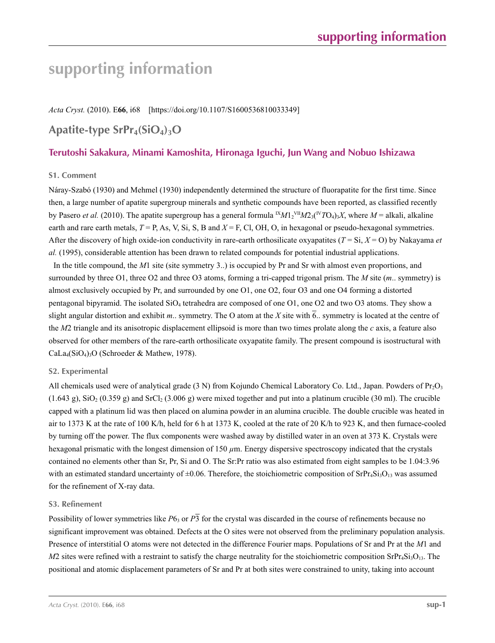# **supporting information**

*Acta Cryst.* (2010). E**66**, i68 [https://doi.org/10.1107/S1600536810033349]

### Apatite-type SrPr<sub>4</sub>(SiO<sub>4</sub>)<sub>3</sub>O

### **Terutoshi Sakakura, Minami Kamoshita, Hironaga Iguchi, Jun Wang and Nobuo Ishizawa**

### **S1. Comment**

Náray-Szabó (1930) and Mehmel (1930) independently determined the structure of fluorapatite for the first time. Since then, a large number of apatite supergroup minerals and synthetic compounds have been reported, as classified recently by Pasero *et al.* (2010). The apatite supergroup has a general formula  ${}^{1}M1_2{}^{VII}M2_3({}^{IV}TO_4)_3X$ , where  $M =$  alkali, alkaline earth and rare earth metals,  $T = P$ , As, V, Si, S, B and  $X = F$ , Cl, OH, O, in hexagonal or pseudo-hexagonal symmetries. After the discovery of high oxide-ion conductivity in rare-earth orthosilicate oxyapatites (*T* = Si, *X* = O) by Nakayama *et al.* (1995), considerable attention has been drawn to related compounds for potential industrial applications.

In the title compound, the *M*1 site (site symmetry 3..) is occupied by Pr and Sr with almost even proportions, and surrounded by three O1, three O2 and three O3 atoms, forming a tri-capped trigonal prism. The *M* site (*m*.. symmetry) is almost exclusively occupied by Pr, and surrounded by one O1, one O2, four O3 and one O4 forming a distorted pentagonal bipyramid. The isolated SiO4 tetrahedra are composed of one O1, one O2 and two O3 atoms. They show a slight angular distortion and exhibit *m*.. symmetry. The O atom at the *X* site with  $\overline{6}$ .. symmetry is located at the centre of the *M*2 triangle and its anisotropic displacement ellipsoid is more than two times prolate along the *c* axis, a feature also observed for other members of the rare-earth orthosilicate oxyapatite family. The present compound is isostructural with CaLa4(SiO4)3O (Schroeder & Mathew, 1978).

### **S2. Experimental**

All chemicals used were of analytical grade (3 N) from Kojundo Chemical Laboratory Co. Ltd., Japan. Powders of  $Pr_2O_3$  $(1.643 \text{ g})$ , SiO<sub>2</sub>  $(0.359 \text{ g})$  and SrCl<sub>2</sub>  $(3.006 \text{ g})$  were mixed together and put into a platinum crucible (30 ml). The crucible capped with a platinum lid was then placed on alumina powder in an alumina crucible. The double crucible was heated in air to 1373 K at the rate of 100 K/h, held for 6 h at 1373 K, cooled at the rate of 20 K/h to 923 K, and then furnace-cooled by turning off the power. The flux components were washed away by distilled water in an oven at 373 K. Crystals were hexagonal prismatic with the longest dimension of 150  $\mu$ m. Energy dispersive spectroscopy indicated that the crystals contained no elements other than Sr, Pr, Si and O. The Sr:Pr ratio was also estimated from eight samples to be 1.04:3.96 with an estimated standard uncertainty of  $\pm 0.06$ . Therefore, the stoichiometric composition of SrPr<sub>4</sub>Si<sub>3</sub>O<sub>13</sub> was assumed for the refinement of X-ray data.

### **S3. Refinement**

Possibility of lower symmetries like  $P6_3$  or  $P\overline{3}$  for the crystal was discarded in the course of refinements because no significant improvement was obtained. Defects at the O sites were not observed from the preliminary population analysis. Presence of interstitial O atoms were not detected in the difference Fourier maps. Populations of Sr and Pr at the *M*1 and  $M2$  sites were refined with a restraint to satisfy the charge neutrality for the stoichiometric composition SrPr<sub>4</sub>Si<sub>3</sub>O<sub>13</sub>. The positional and atomic displacement parameters of Sr and Pr at both sites were constrained to unity, taking into account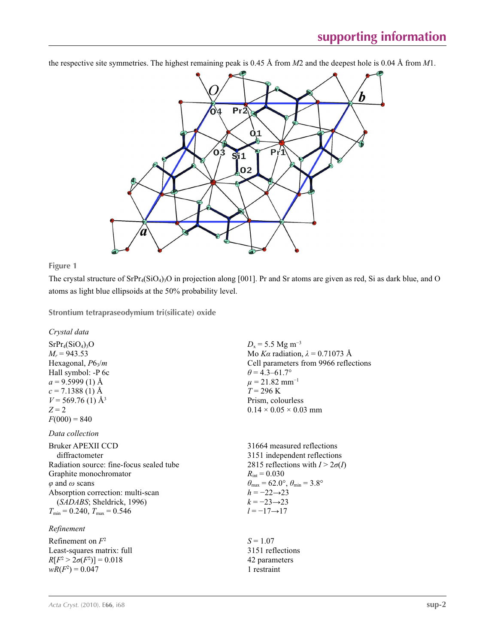the respective site symmetries. The highest remaining peak is 0.45 Å from *M*2 and the deepest hole is 0.04 Å from *M*1.



**Figure 1**

The crystal structure of  $SrPr_4(SiO_4)_3O$  in projection along [001]. Pr and Sr atoms are given as red, Si as dark blue, and O atoms as light blue ellipsoids at the 50% probability level.

**Strontium tetrapraseodymium tri(silicate) oxide** 

*Crystal data*

 $SrPr<sub>4</sub>(SiO<sub>4</sub>)<sub>3</sub>O$  $M_r = 943.53$ Hexagonal, *P*63/*m* Hall symbol: -P 6c  $a = 9.5999(1)$  Å  $c = 7.1388(1)$  Å  $V = 569.76$  (1) Å<sup>3</sup>  $Z = 2$  $F(000) = 840$ 

### *Data collection*

Bruker APEXII CCD diffractometer Radiation source: fine-focus sealed tube Graphite monochromator *φ* and *ω* scans Absorption correction: multi-scan (*SADABS*; Sheldrick, 1996)  $T_{\text{min}} = 0.240, T_{\text{max}} = 0.546$ 

### *Refinement*

Refinement on *F*<sup>2</sup> Least-squares matrix: full  $R[F^2 > 2\sigma(F^2)] = 0.018$  $wR(F^2) = 0.047$ 

 $D_x = 5.5$  Mg m<sup>-3</sup> Mo *Kα* radiation,  $\lambda = 0.71073$  Å Cell parameters from 9966 reflections  $\theta$  = 4.3–61.7°  $\mu = 21.82$  mm<sup>-1</sup>  $T = 296$  K Prism, colourless  $0.14 \times 0.05 \times 0.03$  mm

31664 measured reflections 3151 independent reflections 2815 reflections with  $I > 2\sigma(I)$  $R_{\text{int}} = 0.030$  $\theta_{\text{max}} = 62.0^{\circ}, \theta_{\text{min}} = 3.8^{\circ}$  $h = -22 \rightarrow 23$ *k* = −23→23 *l* = −17→17

 $S = 1.07$ 3151 reflections 42 parameters 1 restraint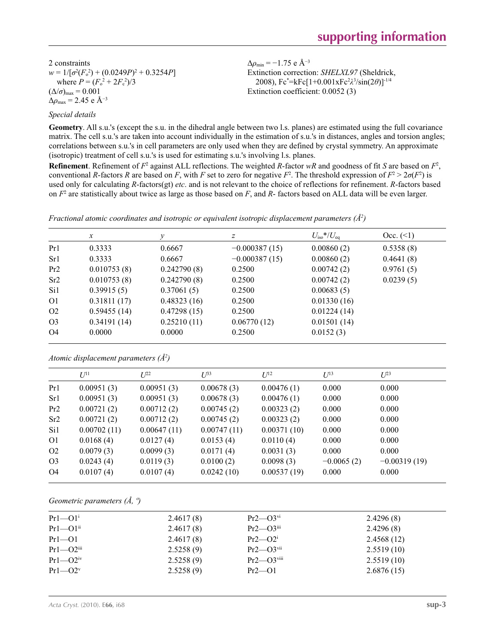2 constraints  $w = 1/[\sigma^2 (F_o^2) + (0.0249P)^2 + 0.3254P]$ where  $P = (F_o^2 + 2F_c^2)/3$  $(\Delta/\sigma)_{\text{max}} = 0.001$  $\Delta\rho_{\text{max}}$  = 2.45 e Å<sup>-3</sup>

Δ*ρ*min = −1.75 e Å−3 Extinction correction: *SHELXL97* (Sheldrick, 2008), Fc\* =kFc[1+0.001xFc2 *λ*3 /sin(2*θ*)]-1/4 Extinction coefficient: 0.0052 (3)

### *Special details*

**Geometry**. All s.u.'s (except the s.u. in the dihedral angle between two l.s. planes) are estimated using the full covariance matrix. The cell s.u.'s are taken into account individually in the estimation of s.u.'s in distances, angles and torsion angles; correlations between s.u.'s in cell parameters are only used when they are defined by crystal symmetry. An approximate (isotropic) treatment of cell s.u.'s is used for estimating s.u.'s involving l.s. planes.

**Refinement**. Refinement of  $F^2$  against ALL reflections. The weighted  $R$ -factor  $wR$  and goodness of fit  $S$  are based on  $F^2$ , conventional *R*-factors *R* are based on *F*, with *F* set to zero for negative *F*<sup>2</sup>. The threshold expression of  $F^2 > 2\sigma(F^2)$  is used only for calculating *R*-factors(gt) *etc*. and is not relevant to the choice of reflections for refinement. *R*-factors based on *F*<sup>2</sup> are statistically about twice as large as those based on *F*, and *R*- factors based on ALL data will be even larger.

|                 | $\boldsymbol{x}$ |             | Ζ               | $U_{\rm iso}$ */ $U_{\rm eq}$ | Occ. (2)  |
|-----------------|------------------|-------------|-----------------|-------------------------------|-----------|
| Pr1             | 0.3333           | 0.6667      | $-0.000387(15)$ | 0.00860(2)                    | 0.5358(8) |
| Sr1             | 0.3333           | 0.6667      | $-0.000387(15)$ | 0.00860(2)                    | 0.4641(8) |
| Pr2             | 0.010753(8)      | 0.242790(8) | 0.2500          | 0.00742(2)                    | 0.9761(5) |
| Sr <sub>2</sub> | 0.010753(8)      | 0.242790(8) | 0.2500          | 0.00742(2)                    | 0.0239(5) |
| Si1             | 0.39915(5)       | 0.37061(5)  | 0.2500          | 0.00683(5)                    |           |
| O <sub>1</sub>  | 0.31811(17)      | 0.48323(16) | 0.2500          | 0.01330(16)                   |           |
| O <sub>2</sub>  | 0.59455(14)      | 0.47298(15) | 0.2500          | 0.01224(14)                   |           |
| O <sub>3</sub>  | 0.34191(14)      | 0.25210(11) | 0.06770(12)     | 0.01501(14)                   |           |
| O4              | 0.0000           | 0.0000      | 0.2500          | 0.0152(3)                     |           |

*Fractional atomic coordinates and isotropic or equivalent isotropic displacement parameters (Å2 )*

*Atomic displacement parameters (Å2 )*

|                | $U^{11}$    | $L^{22}$    | $I^{\frac{3}{3}}$ | $U^{12}$    | $U^{13}$     | $U^{23}$       |
|----------------|-------------|-------------|-------------------|-------------|--------------|----------------|
| Pr1            | 0.00951(3)  | 0.00951(3)  | 0.00678(3)        | 0.00476(1)  | 0.000        | 0.000          |
| Sr1            | 0.00951(3)  | 0.00951(3)  | 0.00678(3)        | 0.00476(1)  | 0.000        | 0.000          |
| Pr2            | 0.00721(2)  | 0.00712(2)  | 0.00745(2)        | 0.00323(2)  | 0.000        | 0.000          |
| Sr2            | 0.00721(2)  | 0.00712(2)  | 0.00745(2)        | 0.00323(2)  | 0.000        | 0.000          |
| Si1            | 0.00702(11) | 0.00647(11) | 0.00747(11)       | 0.00371(10) | 0.000        | 0.000          |
| O <sub>1</sub> | 0.0168(4)   | 0.0127(4)   | 0.0153(4)         | 0.0110(4)   | 0.000        | 0.000          |
| O <sub>2</sub> | 0.0079(3)   | 0.0099(3)   | 0.0171(4)         | 0.0031(3)   | 0.000        | 0.000          |
| O <sub>3</sub> | 0.0243(4)   | 0.0119(3)   | 0.0100(2)         | 0.0098(3)   | $-0.0065(2)$ | $-0.00319(19)$ |
| O <sub>4</sub> | 0.0107(4)   | 0.0107(4)   | 0.0242(10)        | 0.00537(19) | 0.000        | 0.000          |
|                |             |             |                   |             |              |                |

*Geometric parameters (Å, º)*

| $Pr1 \rightarrow O1^i$     | 2.4617(8) | $Pr2$ — $O3$ <sup>vi</sup>   | 2.4296(8)  |
|----------------------------|-----------|------------------------------|------------|
| $Pr1$ — $O1$ <sup>ii</sup> | 2.4617(8) | $Pr2$ — $O3$ <sup>iii</sup>  | 2.4296(8)  |
| $Pr1 - O1$                 | 2.4617(8) | $Pr2$ —O2 <sup>i</sup>       | 2.4568(12) |
| $Pr1 - O2$ <sup>iii</sup>  | 2.5258(9) | $Pr2$ — $O3$ <sup>vii</sup>  | 2.5519(10) |
| $Pr1 - O2iv$               | 2.5258(9) | $Pr2$ — $O3$ <sup>viii</sup> | 2.5519(10) |
| $Pr1 - O2v$                | 2.5258(9) | $Pr2 \rightarrow O1$         | 2.6876(15) |
|                            |           |                              |            |